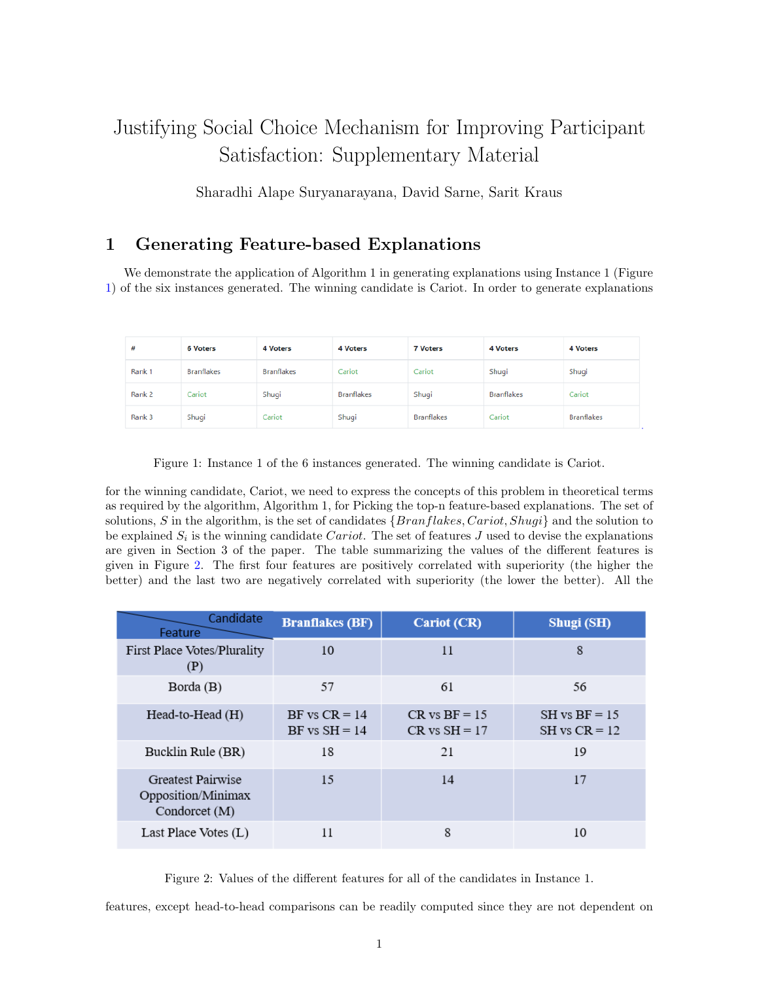# Justifying Social Choice Mechanism for Improving Participant Satisfaction: Supplementary Material

Sharadhi Alape Suryanarayana, David Sarne, Sarit Kraus

# <span id="page-0-2"></span>1 Generating Feature-based Explanations

We demonstrate the application of Algorithm 1 in generating explanations using Instance 1 (Figure [1\)](#page-0-0) of the six instances generated. The winning candidate is Cariot. In order to generate explanations

| #      | <b>6 Voters</b>   | <b>4 Voters</b>   | <b>4 Voters</b>   | <b>7 Voters</b>   | 4 Voters          | 4 Voters          |
|--------|-------------------|-------------------|-------------------|-------------------|-------------------|-------------------|
| Rank 1 | <b>Branflakes</b> | <b>Branflakes</b> | Cariot            | Cariot            | Shugi             | Shugi             |
| Rank 2 | Cariot            | Shugi             | <b>Branflakes</b> | Shugi             | <b>Branflakes</b> | Cariot            |
| Rank 3 | Shugi             | Cariot            | Shugi             | <b>Branflakes</b> | Cariot            | <b>Branflakes</b> |

<span id="page-0-0"></span>Figure 1: Instance 1 of the 6 instances generated. The winning candidate is Cariot.

for the winning candidate, Cariot, we need to express the concepts of this problem in theoretical terms as required by the algorithm, Algorithm 1, for Picking the top-n feature-based explanations. The set of solutions, S in the algorithm, is the set of candidates  $\{Branchlikes, Cariot, Shugi\}$  and the solution to be explained  $S_i$  is the winning candidate Cariot. The set of features J used to devise the explanations are given in Section 3 of the paper. The table summarizing the values of the different features is given in Figure [2.](#page-0-1) The first four features are positively correlated with superiority (the higher the better) and the last two are negatively correlated with superiority (the lower the better). All the

| Candidate<br>Feature                                     | <b>Branflakes</b> (BF)               | <b>Cariot</b> (CR)                   | Shugi (SH)                         |
|----------------------------------------------------------|--------------------------------------|--------------------------------------|------------------------------------|
| First Place Votes/Plurality<br>(P)                       | 10                                   | 11                                   | 8                                  |
| Borda (B)                                                | 57                                   | 61                                   | 56                                 |
| Head-to-Head (H)                                         | BF vs $CR = 14$<br>$BF$ vs $SH = 14$ | $CR vs BF = 15$<br>$CR$ vs $SH = 17$ | $SH vs BF = 15$<br>$SH vs CR = 12$ |
| Bucklin Rule (BR)                                        | 18                                   | 21                                   | 19                                 |
| Greatest Pairwise<br>Opposition/Minimax<br>Condorcet (M) | 15                                   | 14                                   | 17                                 |
| Last Place Votes (L)                                     | 11                                   | 8                                    | 10                                 |

<span id="page-0-1"></span>Figure 2: Values of the different features for all of the candidates in Instance 1.

features, except head-to-head comparisons can be readily computed since they are not dependent on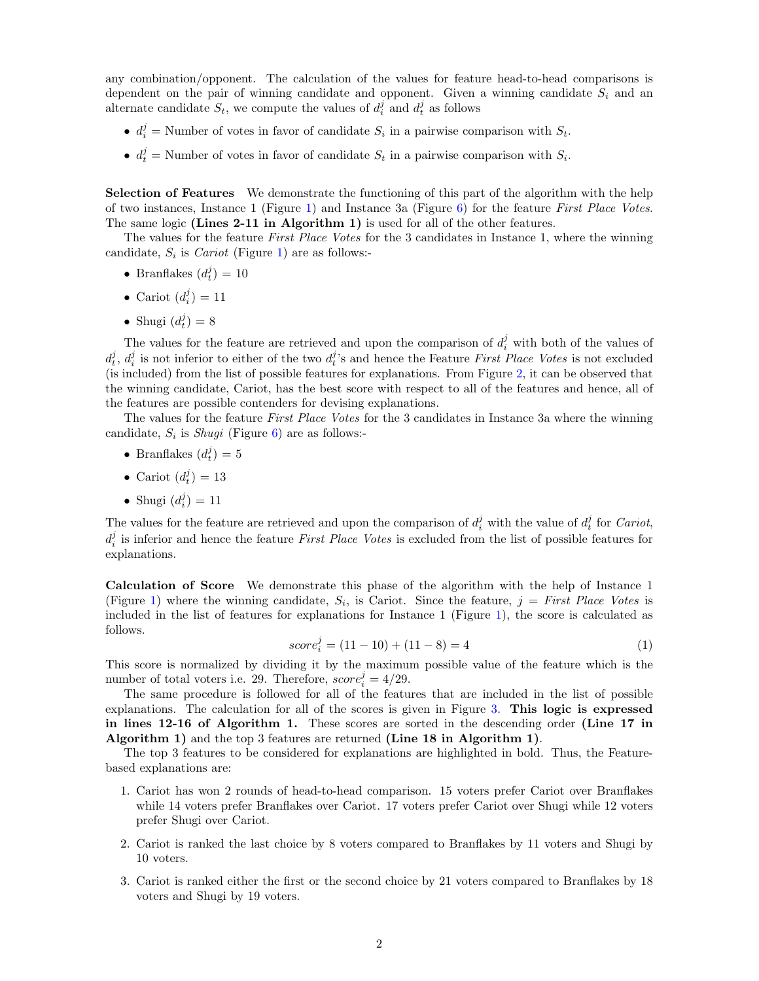any combination/opponent. The calculation of the values for feature head-to-head comparisons is dependent on the pair of winning candidate and opponent. Given a winning candidate  $S_i$  and an alternate candidate  $S_t$ , we compute the values of  $d_i^j$  and  $d_t^j$  as follows

- $d_i^j$  = Number of votes in favor of candidate  $S_i$  in a pairwise comparison with  $S_t$ .
- $d_t^j$  = Number of votes in favor of candidate  $S_t$  in a pairwise comparison with  $S_i$ .

Selection of Features We demonstrate the functioning of this part of the algorithm with the help of two instances, Instance 1 (Figure [1\)](#page-0-0) and Instance 3a (Figure [6\)](#page-3-0) for the feature First Place Votes. The same logic (Lines 2-11 in Algorithm 1) is used for all of the other features.

The values for the feature First Place Votes for the 3 candidates in Instance 1, where the winning candidate,  $S_i$  is *Cariot* (Figure [1\)](#page-0-0) are as follows:-

- Branflakes  $(d_t^j) = 10$
- Cariot  $(d_i^j) = 11$
- Shugi  $(d_t^j) = 8$

The values for the feature are retrieved and upon the comparison of  $d_i^j$  with both of the values of  $d_t^j$ ,  $d_i^j$  is not inferior to either of the two  $d_t^j$ 's and hence the Feature First Place Votes is not excluded (is included) from the list of possible features for explanations. From Figure [2,](#page-0-1) it can be observed that the winning candidate, Cariot, has the best score with respect to all of the features and hence, all of the features are possible contenders for devising explanations.

The values for the feature *First Place Votes* for the 3 candidates in Instance 3a where the winning candidate,  $S_i$  is *Shugi* (Figure [6\)](#page-3-0) are as follows:-

- Branflakes  $(d_t^j) = 5$
- Cariot  $(d_t^j) = 13$
- Shugi  $(d_i^j) = 11$

The values for the feature are retrieved and upon the comparison of  $d_i^j$  with the value of  $d_i^j$  for *Cariot*,  $d_i^j$  is inferior and hence the feature First Place Votes is excluded from the list of possible features for explanations.

Calculation of Score We demonstrate this phase of the algorithm with the help of Instance 1 (Figure [1\)](#page-0-0) where the winning candidate,  $S_i$ , is Cariot. Since the feature,  $j = First$  Place Votes is included in the list of features for explanations for Instance 1 (Figure [1\)](#page-0-0), the score is calculated as follows.

$$
score_i^j = (11 - 10) + (11 - 8) = 4 \tag{1}
$$

This score is normalized by dividing it by the maximum possible value of the feature which is the number of total voters i.e. 29. Therefore,  $score_i^j = 4/29$ .

The same procedure is followed for all of the features that are included in the list of possible explanations. The calculation for all of the scores is given in Figure [3.](#page-2-0) This logic is expressed in lines 12-16 of Algorithm 1. These scores are sorted in the descending order (Line 17 in Algorithm 1) and the top 3 features are returned (Line 18 in Algorithm 1).

The top 3 features to be considered for explanations are highlighted in bold. Thus, the Featurebased explanations are:

- 1. Cariot has won 2 rounds of head-to-head comparison. 15 voters prefer Cariot over Branflakes while 14 voters prefer Branflakes over Cariot. 17 voters prefer Cariot over Shugi while 12 voters prefer Shugi over Cariot.
- 2. Cariot is ranked the last choice by 8 voters compared to Branflakes by 11 voters and Shugi by 10 voters.
- 3. Cariot is ranked either the first or the second choice by 21 voters compared to Branflakes by 18 voters and Shugi by 19 voters.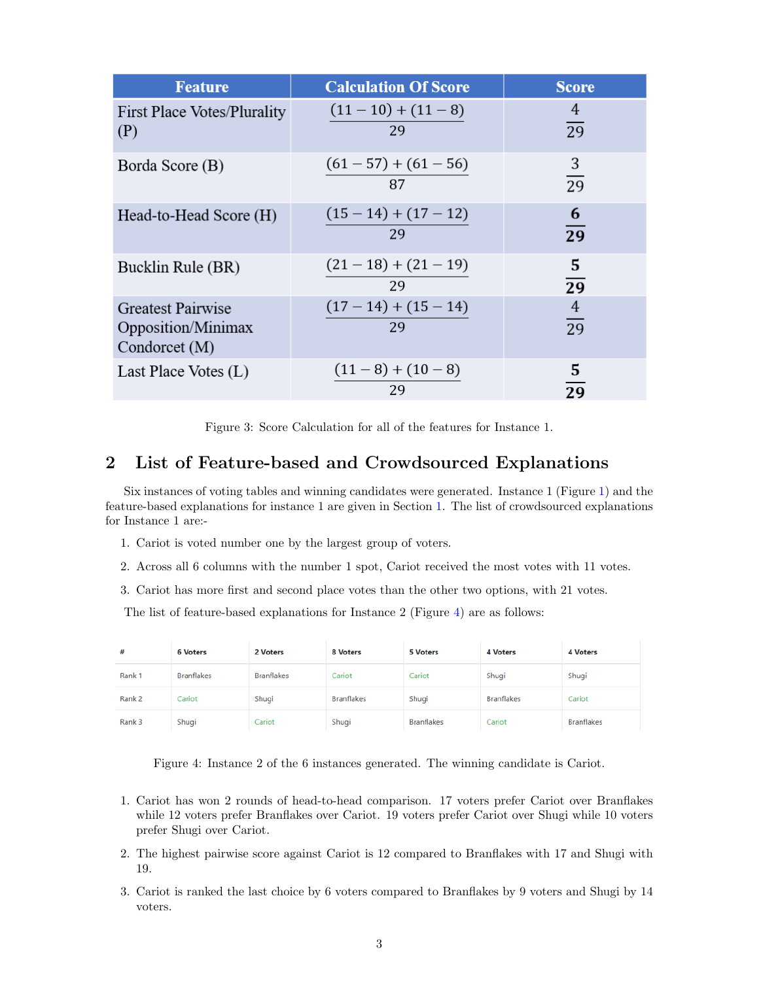| <b>Feature</b>                                           | <b>Calculation Of Score</b>   | <b>Score</b>         |
|----------------------------------------------------------|-------------------------------|----------------------|
| First Place Votes/Plurality<br>(P)                       | $(11-10)+(11-8)$<br>29        | 4<br>$\overline{29}$ |
| Borda Score (B)                                          | $(61 - 57) + (61 - 56)$<br>87 | 3<br>29              |
| Head-to-Head Score (H)                                   | $(15-14)+(17-12)$<br>29       | 6<br>$\overline{29}$ |
| Bucklin Rule (BR)                                        | $(21-18)+(21-19)$<br>29       | 5<br>$\overline{29}$ |
| Greatest Pairwise<br>Opposition/Minimax<br>Condorcet (M) | $(17-14)+(15-14)$<br>29       | 4<br>29              |
| Last Place Votes $(L)$                                   | $(11-8)+(10-8)$<br>29         | 5<br>29              |

<span id="page-2-0"></span>Figure 3: Score Calculation for all of the features for Instance 1.

### 2 List of Feature-based and Crowdsourced Explanations

Six instances of voting tables and winning candidates were generated. Instance 1 (Figure [1\)](#page-0-0) and the feature-based explanations for instance 1 are given in Section [1.](#page-0-2) The list of crowdsourced explanations for Instance 1 are:-

- 1. Cariot is voted number one by the largest group of voters.
- 2. Across all 6 columns with the number 1 spot, Cariot received the most votes with 11 votes.
- 3. Cariot has more first and second place votes than the other two options, with 21 votes.

The list of feature-based explanations for Instance 2 (Figure [4\)](#page-2-1) are as follows:

| #      | <b>6 Voters</b>   | 2 Voters          | 8 Voters          | 5 Voters          | 4 Voters          | 4 Voters          |
|--------|-------------------|-------------------|-------------------|-------------------|-------------------|-------------------|
| Rank 1 | <b>Branflakes</b> | <b>Branflakes</b> | Cariot            | Cariot            | Shugi             | Shugi             |
| Rank 2 | Cariot            | Shugi             | <b>Branflakes</b> | Shugi             | <b>Branflakes</b> | Cariot            |
| Rank 3 | Shugi             | Cariot            | Shugi             | <b>Branflakes</b> | Cariot            | <b>Branflakes</b> |

<span id="page-2-1"></span>Figure 4: Instance 2 of the 6 instances generated. The winning candidate is Cariot.

- 1. Cariot has won 2 rounds of head-to-head comparison. 17 voters prefer Cariot over Branflakes while 12 voters prefer Branflakes over Cariot. 19 voters prefer Cariot over Shugi while 10 voters prefer Shugi over Cariot.
- 2. The highest pairwise score against Cariot is 12 compared to Branflakes with 17 and Shugi with 19.
- 3. Cariot is ranked the last choice by 6 voters compared to Branflakes by 9 voters and Shugi by 14 voters.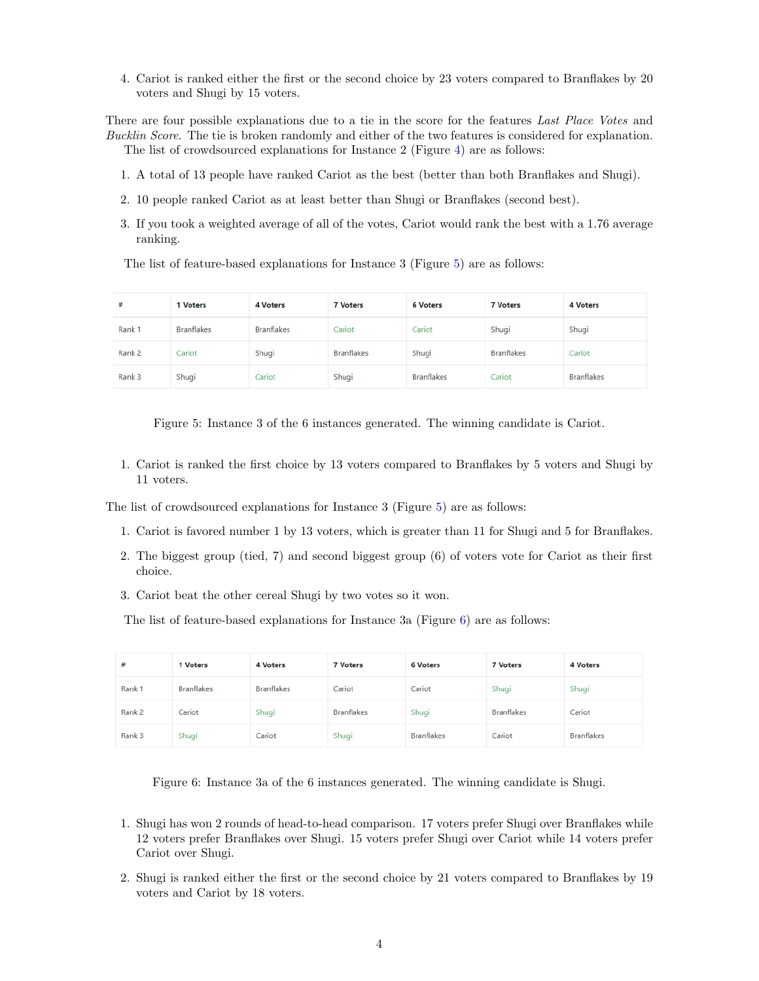4. Cariot is ranked either the first or the second choice by 23 voters compared to Branflakes by 20 voters and Shugi by 15 voters.

There are four possible explanations due to a tie in the score for the features Last Place Votes and Bucklin Score. The tie is broken randomly and either of the two features is considered for explanation. The list of crowdsourced explanations for Instance 2 (Figure [4\)](#page-2-1) are as follows:

- 1. A total of 13 people have ranked Cariot as the best (better than both Branflakes and Shugi).
- 2. 10 people ranked Cariot as at least better than Shugi or Branflakes (second best).
- 3. If you took a weighted average of all of the votes, Cariot would rank the best with a 1.76 average ranking.

The list of feature-based explanations for Instance 3 (Figure [5\)](#page-3-1) are as follows:

| #      | 1 Voters          | 4 Voters          | <b>7 Voters</b>   | <b>6 Voters</b>   | <b>7 Voters</b>   | 4 Voters          |
|--------|-------------------|-------------------|-------------------|-------------------|-------------------|-------------------|
| Rank 1 | <b>Branflakes</b> | <b>Branflakes</b> | Cariot            | Cariot            | Shugi             | Shugi             |
| Rank 2 | Cariot            | Shugi             | <b>Branflakes</b> | Shugi             | <b>Branflakes</b> | Cariot            |
| Rank 3 | Shugi             | Cariot            | Shugi             | <b>Branflakes</b> | Cariot            | <b>Branflakes</b> |

<span id="page-3-1"></span>Figure 5: Instance 3 of the 6 instances generated. The winning candidate is Cariot.

1. Cariot is ranked the first choice by 13 voters compared to Branflakes by 5 voters and Shugi by 11 voters.

The list of crowdsourced explanations for Instance 3 (Figure [5\)](#page-3-1) are as follows:

- 1. Cariot is favored number 1 by 13 voters, which is greater than 11 for Shugi and 5 for Branflakes.
- 2. The biggest group (tied, 7) and second biggest group (6) of voters vote for Cariot as their first choice.
- 3. Cariot beat the other cereal Shugi by two votes so it won.

The list of feature-based explanations for Instance 3a (Figure [6\)](#page-3-0) are as follows:

| #      | 1 Voters          | 4 Voters          | <b>7 Voters</b>   | <b>6 Voters</b>   | <b>7 Voters</b>   | <b>4 Voters</b>   |
|--------|-------------------|-------------------|-------------------|-------------------|-------------------|-------------------|
| Rank 1 | <b>Branflakes</b> | <b>Branflakes</b> | Cariot            | Cariot            | Shugi             | Shugi             |
| Rank 2 | Cariot            | Shugi             | <b>Branflakes</b> | Shugi             | <b>Branflakes</b> | Cariot            |
| Rank 3 | Shugi             | Cariot            | Shugi             | <b>Branflakes</b> | Cariot            | <b>Branflakes</b> |

<span id="page-3-0"></span>Figure 6: Instance 3a of the 6 instances generated. The winning candidate is Shugi.

- 1. Shugi has won 2 rounds of head-to-head comparison. 17 voters prefer Shugi over Branflakes while 12 voters prefer Branflakes over Shugi. 15 voters prefer Shugi over Cariot while 14 voters prefer Cariot over Shugi.
- 2. Shugi is ranked either the first or the second choice by 21 voters compared to Branflakes by 19 voters and Cariot by 18 voters.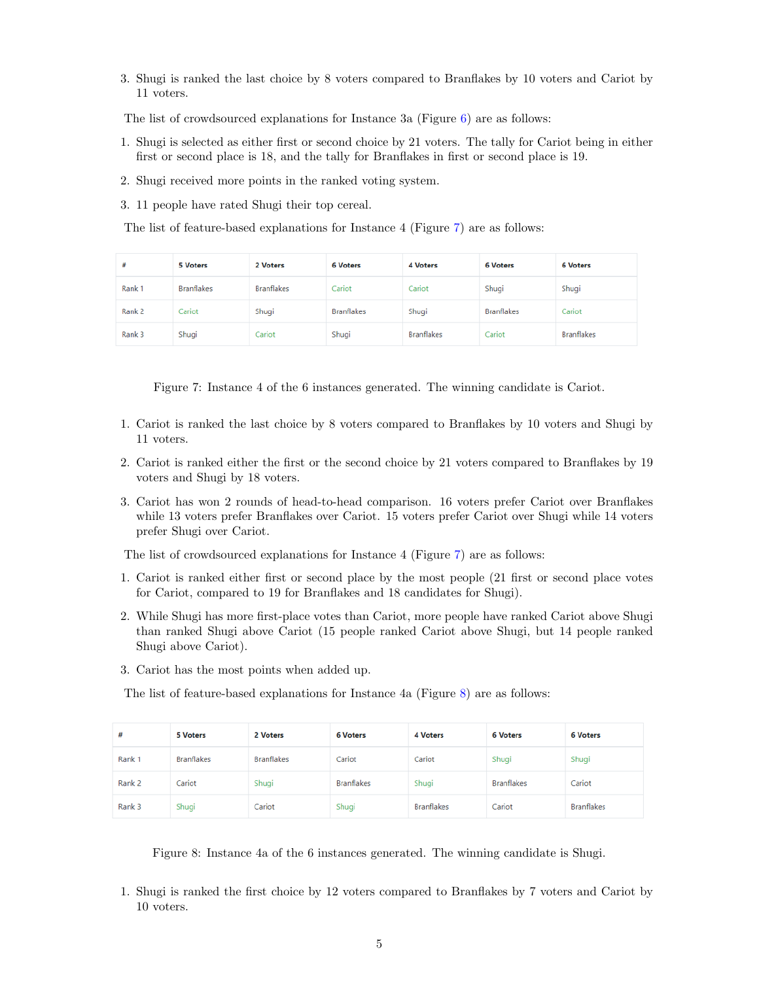3. Shugi is ranked the last choice by 8 voters compared to Branflakes by 10 voters and Cariot by 11 voters.

The list of crowdsourced explanations for Instance 3a (Figure [6\)](#page-3-0) are as follows:

- 1. Shugi is selected as either first or second choice by 21 voters. The tally for Cariot being in either first or second place is 18, and the tally for Branflakes in first or second place is 19.
- 2. Shugi received more points in the ranked voting system.
- 3. 11 people have rated Shugi their top cereal.

The list of feature-based explanations for Instance 4 (Figure [7\)](#page-4-0) are as follows:

| #      | 5 Voters          | 2 Voters          | <b>6 Voters</b>   | 4 Voters          | <b>6 Voters</b>   | <b>6 Voters</b>   |
|--------|-------------------|-------------------|-------------------|-------------------|-------------------|-------------------|
| Rank 1 | <b>Branflakes</b> | <b>Branflakes</b> | Cariot            | Cariot            | Shugi             | Shugi             |
| Rank 2 | Cariot            | Shugi             | <b>Branflakes</b> | Shugi             | <b>Branflakes</b> | Cariot            |
| Rank 3 | Shugi             | Cariot            | Shugi             | <b>Branflakes</b> | Cariot            | <b>Branflakes</b> |

<span id="page-4-0"></span>Figure 7: Instance 4 of the 6 instances generated. The winning candidate is Cariot.

- 1. Cariot is ranked the last choice by 8 voters compared to Branflakes by 10 voters and Shugi by 11 voters.
- 2. Cariot is ranked either the first or the second choice by 21 voters compared to Branflakes by 19 voters and Shugi by 18 voters.
- 3. Cariot has won 2 rounds of head-to-head comparison. 16 voters prefer Cariot over Branflakes while 13 voters prefer Branflakes over Cariot. 15 voters prefer Cariot over Shugi while 14 voters prefer Shugi over Cariot.

The list of crowdsourced explanations for Instance 4 (Figure [7\)](#page-4-0) are as follows:

- 1. Cariot is ranked either first or second place by the most people (21 first or second place votes for Cariot, compared to 19 for Branflakes and 18 candidates for Shugi).
- 2. While Shugi has more first-place votes than Cariot, more people have ranked Cariot above Shugi than ranked Shugi above Cariot (15 people ranked Cariot above Shugi, but 14 people ranked Shugi above Cariot).
- 3. Cariot has the most points when added up.

The list of feature-based explanations for Instance 4a (Figure [8\)](#page-4-1) are as follows:

| #      | 5 Voters          | 2 Voters          | <b>6 Voters</b>   | <b>4 Voters</b>   | <b>6 Voters</b>   | <b>6 Voters</b>   |
|--------|-------------------|-------------------|-------------------|-------------------|-------------------|-------------------|
| Rank 1 | <b>Branflakes</b> | <b>Branflakes</b> | Cariot            | Cariot            | Shugi             | Shugi             |
| Rank 2 | Cariot            | Shugi             | <b>Branflakes</b> | Shugi             | <b>Branflakes</b> | Cariot            |
| Rank 3 | Shugi             | Cariot            | Shugi             | <b>Branflakes</b> | Cariot            | <b>Branflakes</b> |

<span id="page-4-1"></span>Figure 8: Instance 4a of the 6 instances generated. The winning candidate is Shugi.

1. Shugi is ranked the first choice by 12 voters compared to Branflakes by 7 voters and Cariot by 10 voters.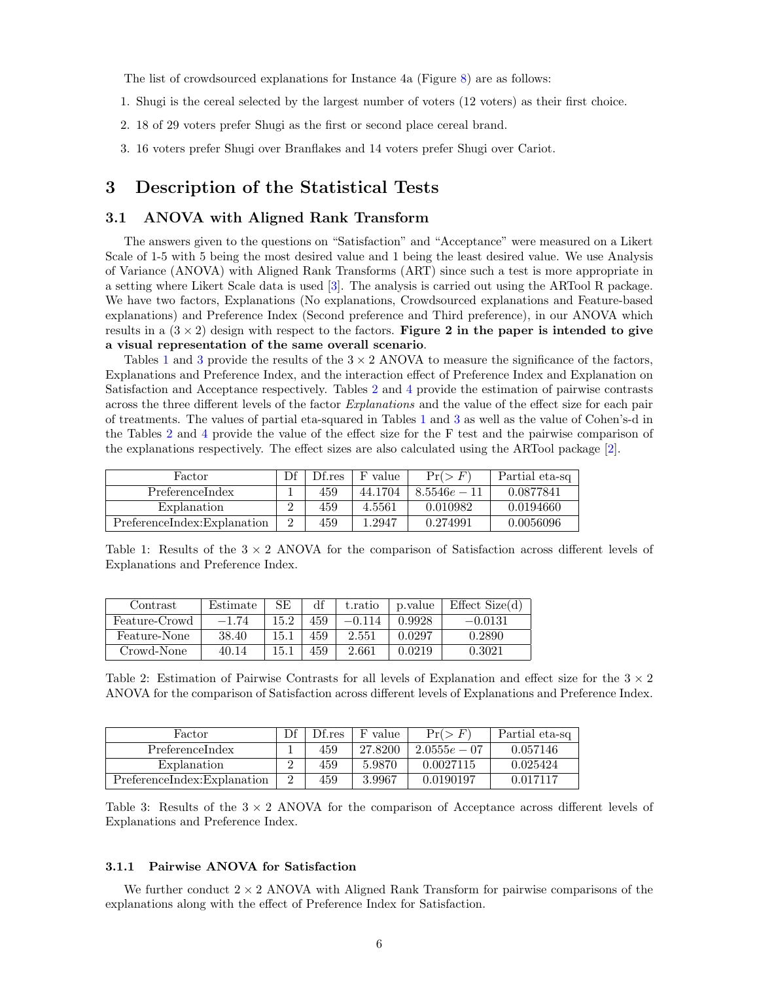The list of crowdsourced explanations for Instance 4a (Figure [8\)](#page-4-1) are as follows:

- 1. Shugi is the cereal selected by the largest number of voters (12 voters) as their first choice.
- 2. 18 of 29 voters prefer Shugi as the first or second place cereal brand.
- 3. 16 voters prefer Shugi over Branflakes and 14 voters prefer Shugi over Cariot.

### 3 Description of the Statistical Tests

#### <span id="page-5-3"></span>3.1 ANOVA with Aligned Rank Transform

The answers given to the questions on "Satisfaction" and "Acceptance" were measured on a Likert Scale of 1-5 with 5 being the most desired value and 1 being the least desired value. We use Analysis of Variance (ANOVA) with Aligned Rank Transforms (ART) since such a test is more appropriate in a setting where Likert Scale data is used [\[3\]](#page-11-0). The analysis is carried out using the ARTool R package. We have two factors, Explanations (No explanations, Crowdsourced explanations and Feature-based explanations) and Preference Index (Second preference and Third preference), in our ANOVA which results in a  $(3 \times 2)$  design with respect to the factors. Figure 2 in the paper is intended to give a visual representation of the same overall scenario.

Tables [1](#page-5-0) and [3](#page-5-1) provide the results of the  $3 \times 2$  ANOVA to measure the significance of the factors, Explanations and Preference Index, and the interaction effect of Preference Index and Explanation on Satisfaction and Acceptance respectively. Tables [2](#page-5-2) and [4](#page-6-0) provide the estimation of pairwise contrasts across the three different levels of the factor Explanations and the value of the effect size for each pair of treatments. The values of partial eta-squared in Tables [1](#page-5-0) and [3](#page-5-1) as well as the value of Cohen's-d in the Tables [2](#page-5-2) and [4](#page-6-0) provide the value of the effect size for the F test and the pairwise comparison of the explanations respectively. The effect sizes are also calculated using the ARTool package [\[2\]](#page-11-1).

| Factor                      | Df.res | F value | Pr(>F)         | Partial eta-sq |
|-----------------------------|--------|---------|----------------|----------------|
| PreferenceIndex             | 459    | 44.1704 | $8.5546e - 11$ | 0.0877841      |
| Explanation                 | 459    | 4.5561  | 0.010982       | 0.0194660      |
| PreferenceIndex:Explanation | 459    | 1.2947  | 0.274991       | 0.0056096      |

<span id="page-5-0"></span>Table 1: Results of the  $3 \times 2$  ANOVA for the comparison of Satisfaction across different levels of Explanations and Preference Index.

| Contrast      | Estimate | SЕ   |     | t.ratio  | p.yalue | Effect Size(d) |
|---------------|----------|------|-----|----------|---------|----------------|
| Feature-Crowd | $-1.74$  | 15.2 | 459 | $-0.114$ | 0.9928  | $-0.0131$      |
| Feature-None  | 38.40    | 15.1 | 459 | 2.551    | 0.0297  | 0.2890         |
| Crowd-None    | 40.14    | 15.1 | 459 | 2.661    | 0.0219  | 0.3021         |

<span id="page-5-2"></span>Table 2: Estimation of Pairwise Contrasts for all levels of Explanation and effect size for the  $3 \times 2$ ANOVA for the comparison of Satisfaction across different levels of Explanations and Preference Index.

| Factor                      | Df.res | F value | Pr(>F)         | Partial eta-sq |
|-----------------------------|--------|---------|----------------|----------------|
| PreferenceIndex             | 459    | 27.8200 | $2.0555e - 07$ | 0.057146       |
| Explanation                 | 459    | 5.9870  | 0.0027115      | 0.025424       |
| PreferenceIndex:Explanation | 459    | 3.9967  | 0.0190197      | 0.017117       |

<span id="page-5-1"></span>Table 3: Results of the  $3 \times 2$  ANOVA for the comparison of Acceptance across different levels of Explanations and Preference Index.

#### 3.1.1 Pairwise ANOVA for Satisfaction

We further conduct  $2 \times 2$  ANOVA with Aligned Rank Transform for pairwise comparisons of the explanations along with the effect of Preference Index for Satisfaction.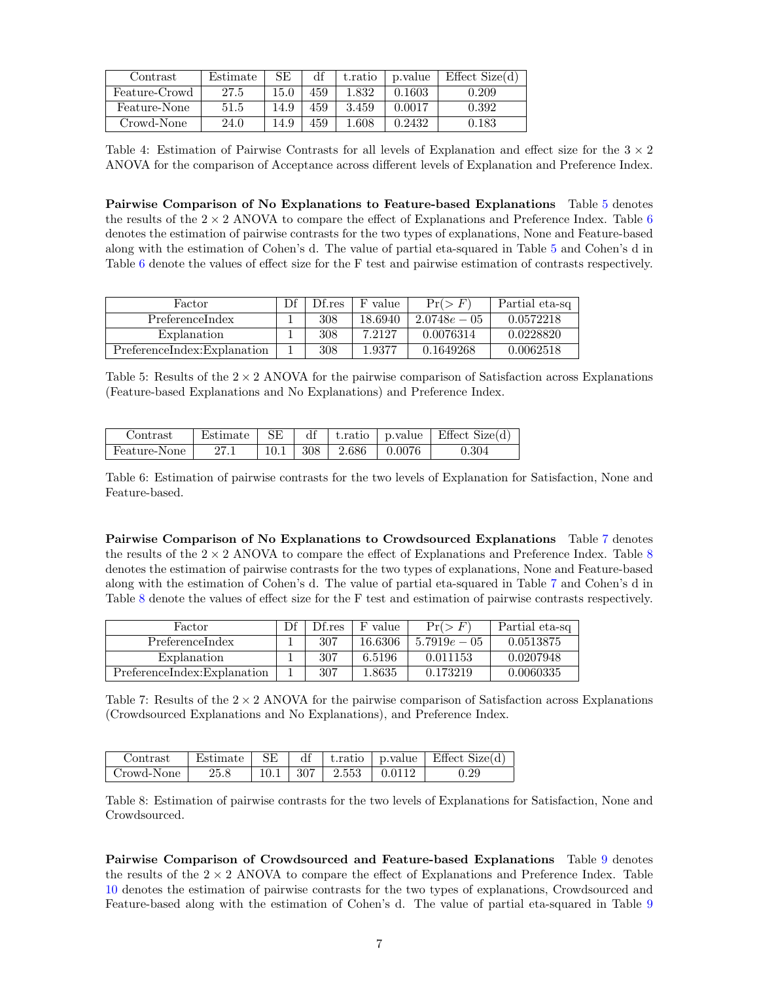| Contrast      | Estimate | SЕ   | df  | t.ratio | p. value | Effect Size(d) |
|---------------|----------|------|-----|---------|----------|----------------|
| Feature-Crowd | 27.5     | 15.0 | 459 | 1.832   | 0.1603   | 0.209          |
| Feature-None  | $51.5\,$ | 14.9 | 459 | 3.459   | 0.0017   | ${0.392}$      |
| Crowd-None    | 24.0     | 14.9 | 459 | .608    | 0.2432   | 0.183          |

<span id="page-6-0"></span>Table 4: Estimation of Pairwise Contrasts for all levels of Explanation and effect size for the  $3 \times 2$ ANOVA for the comparison of Acceptance across different levels of Explanation and Preference Index.

Pairwise Comparison of No Explanations to Feature-based Explanations Table [5](#page-6-1) denotes the results of the  $2 \times 2$  ANOVA to compare the effect of Explanations and Preference Index. Table [6](#page-6-2) denotes the estimation of pairwise contrasts for the two types of explanations, None and Feature-based along with the estimation of Cohen's d. The value of partial eta-squared in Table [5](#page-6-1) and Cohen's d in Table [6](#page-6-2) denote the values of effect size for the F test and pairwise estimation of contrasts respectively.

| Factor                      | Df.res | F value | Pr(>F)         | Partial eta-sq |
|-----------------------------|--------|---------|----------------|----------------|
| PreferenceIndex             | 308    | 18.6940 | $2.0748e - 05$ | 0.0572218      |
| Explanation                 | 308    | 7.2127  | 0.0076314      | 0.0228820      |
| PreferenceIndex:Explanation | 308    | 1.9377  | 0.1649268      | 0.0062518      |

<span id="page-6-1"></span>Table 5: Results of the  $2 \times 2$  ANOVA for the pairwise comparison of Satisfaction across Explanations (Feature-based Explanations and No Explanations) and Preference Index.

|              |                                    |  |  | Contrast   Estimate   SE   df   t.ratio   p.value   Effect Size(d) |
|--------------|------------------------------------|--|--|--------------------------------------------------------------------|
| Feature-None | 27.1   10.1   308   2.686   0.0076 |  |  | 0.304                                                              |

<span id="page-6-2"></span>Table 6: Estimation of pairwise contrasts for the two levels of Explanation for Satisfaction, None and Feature-based.

Pairwise Comparison of No Explanations to Crowdsourced Explanations Table [7](#page-6-3) denotes the results of the  $2 \times 2$  ANOVA to compare the effect of Explanations and Preference Index. Table [8](#page-6-4) denotes the estimation of pairwise contrasts for the two types of explanations, None and Feature-based along with the estimation of Cohen's d. The value of partial eta-squared in Table [7](#page-6-3) and Cohen's d in Table [8](#page-6-4) denote the values of effect size for the F test and estimation of pairwise contrasts respectively.

| Factor                      | Df.res | F value | Pr(>F)         | Partial eta-sq |
|-----------------------------|--------|---------|----------------|----------------|
| PreferenceIndex             | -307   | 16.6306 | $5.7919e - 05$ | 0.0513875      |
| Explanation                 | 307    | 6.5196  | 0.011153       | 0.0207948      |
| PreferenceIndex:Explanation | 307    | 1.8635  | 0.173219       | 0.0060335      |

<span id="page-6-3"></span>Table 7: Results of the  $2 \times 2$  ANOVA for the pairwise comparison of Satisfaction across Explanations (Crowdsourced Explanations and No Explanations), and Preference Index.

|            |      |  |                               | Contrast   Estimate   SE   df   t.ratio   p.value   Effect Size(d) |
|------------|------|--|-------------------------------|--------------------------------------------------------------------|
| Crowd-None | 25.8 |  | $10.1$   307   2.553   0.0112 | 0.29                                                               |

<span id="page-6-4"></span>Table 8: Estimation of pairwise contrasts for the two levels of Explanations for Satisfaction, None and Crowdsourced.

Pairwise Comparison of Crowdsourced and Feature-based Explanations Table [9](#page-7-0) denotes the results of the  $2 \times 2$  ANOVA to compare the effect of Explanations and Preference Index. Table [10](#page-7-1) denotes the estimation of pairwise contrasts for the two types of explanations, Crowdsourced and Feature-based along with the estimation of Cohen's d. The value of partial eta-squared in Table [9](#page-7-0)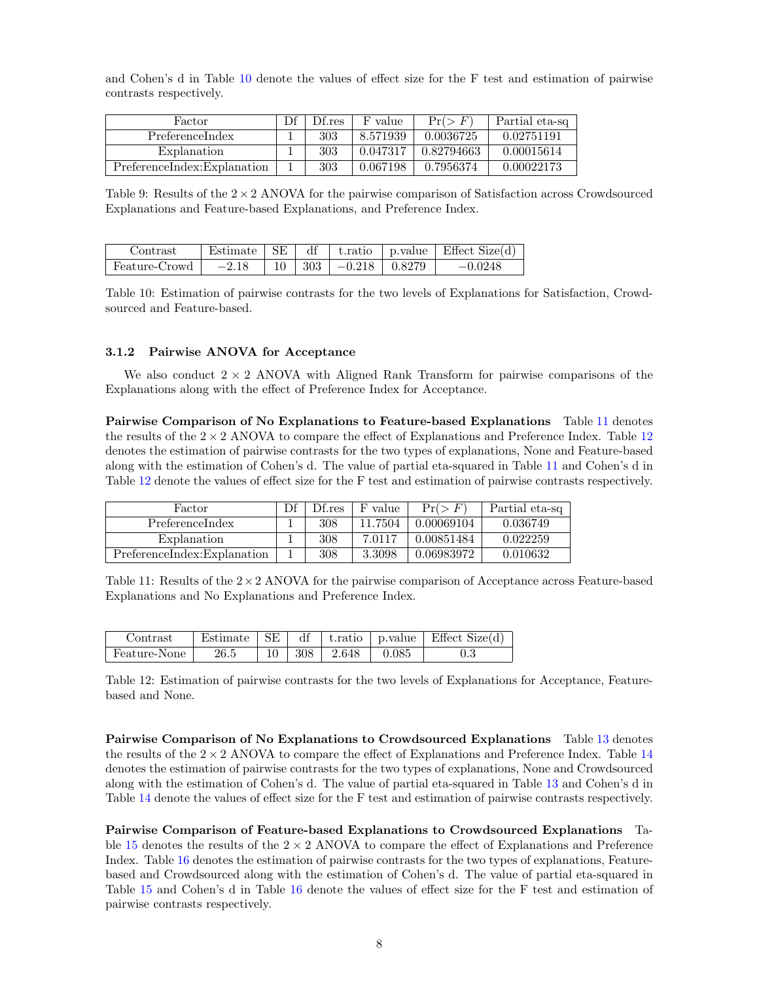and Cohen's d in Table [10](#page-7-1) denote the values of effect size for the F test and estimation of pairwise contrasts respectively.

| Factor                      | Df.res | F value  | Pr(>F)     | Partial eta-sq |
|-----------------------------|--------|----------|------------|----------------|
| PreferenceIndex             | 303    | 8.571939 | 0.0036725  | 0.02751191     |
| Explanation                 | 303    | 0.047317 | 0.82794663 | 0.00015614     |
| PreferenceIndex:Explanation | 303    | 0.067198 | 0.7956374  | 0.00022173     |

<span id="page-7-0"></span>Table 9: Results of the  $2 \times 2$  ANOVA for the pairwise comparison of Satisfaction across Crowdsourced Explanations and Feature-based Explanations, and Preference Index.

| Contrast      |         |        |     |                     | Estimate   SE   df   t.ratio   p.value   Effect Size(d) |
|---------------|---------|--------|-----|---------------------|---------------------------------------------------------|
| Feature-Crowd | $-2.18$ | $10-1$ | 303 | $-0.218 \pm 0.8279$ | $-0.0248$                                               |

<span id="page-7-1"></span>Table 10: Estimation of pairwise contrasts for the two levels of Explanations for Satisfaction, Crowdsourced and Feature-based.

#### 3.1.2 Pairwise ANOVA for Acceptance

We also conduct  $2 \times 2$  ANOVA with Aligned Rank Transform for pairwise comparisons of the Explanations along with the effect of Preference Index for Acceptance.

Pairwise Comparison of No Explanations to Feature-based Explanations Table [11](#page-7-2) denotes the results of the  $2 \times 2$  ANOVA to compare the effect of Explanations and Preference Index. Table [12](#page-7-3) denotes the estimation of pairwise contrasts for the two types of explanations, None and Feature-based along with the estimation of Cohen's d. The value of partial eta-squared in Table [11](#page-7-2) and Cohen's d in Table [12](#page-7-3) denote the values of effect size for the F test and estimation of pairwise contrasts respectively.

| Factor                      | Df.res | F value | Pr(>F)     | Partial eta-sq |
|-----------------------------|--------|---------|------------|----------------|
| PreferenceIndex             | 308    | 11.7504 | 0.00069104 | 0.036749       |
| Explanation                 | 308    | 7.0117  | 0.00851484 | 0.022259       |
| PreferenceIndex:Explanation | 308    | 3.3098  | 0.06983972 | 0.010632       |

<span id="page-7-2"></span>Table 11: Results of the  $2\times 2$  ANOVA for the pairwise comparison of Acceptance across Feature-based Explanations and No Explanations and Preference Index.

| Contrast     |      |  |                          |                | Estimate   SE   df   t.ratio   p.value   Effect Size(d) |
|--------------|------|--|--------------------------|----------------|---------------------------------------------------------|
| Feature-None | 26.5 |  | $10 \mid 308 \mid 2.648$ | $1\quad 0.085$ |                                                         |

<span id="page-7-3"></span>Table 12: Estimation of pairwise contrasts for the two levels of Explanations for Acceptance, Featurebased and None.

Pairwise Comparison of No Explanations to Crowdsourced Explanations Table [13](#page-8-0) denotes the results of the  $2 \times 2$  ANOVA to compare the effect of Explanations and Preference Index. Table [14](#page-8-1) denotes the estimation of pairwise contrasts for the two types of explanations, None and Crowdsourced along with the estimation of Cohen's d. The value of partial eta-squared in Table [13](#page-8-0) and Cohen's d in Table [14](#page-8-1) denote the values of effect size for the F test and estimation of pairwise contrasts respectively.

Pairwise Comparison of Feature-based Explanations to Crowdsourced Explanations Ta-ble [15](#page-8-2) denotes the results of the  $2 \times 2$  ANOVA to compare the effect of Explanations and Preference Index. Table [16](#page-8-3) denotes the estimation of pairwise contrasts for the two types of explanations, Featurebased and Crowdsourced along with the estimation of Cohen's d. The value of partial eta-squared in Table [15](#page-8-2) and Cohen's d in Table [16](#page-8-3) denote the values of effect size for the F test and estimation of pairwise contrasts respectively.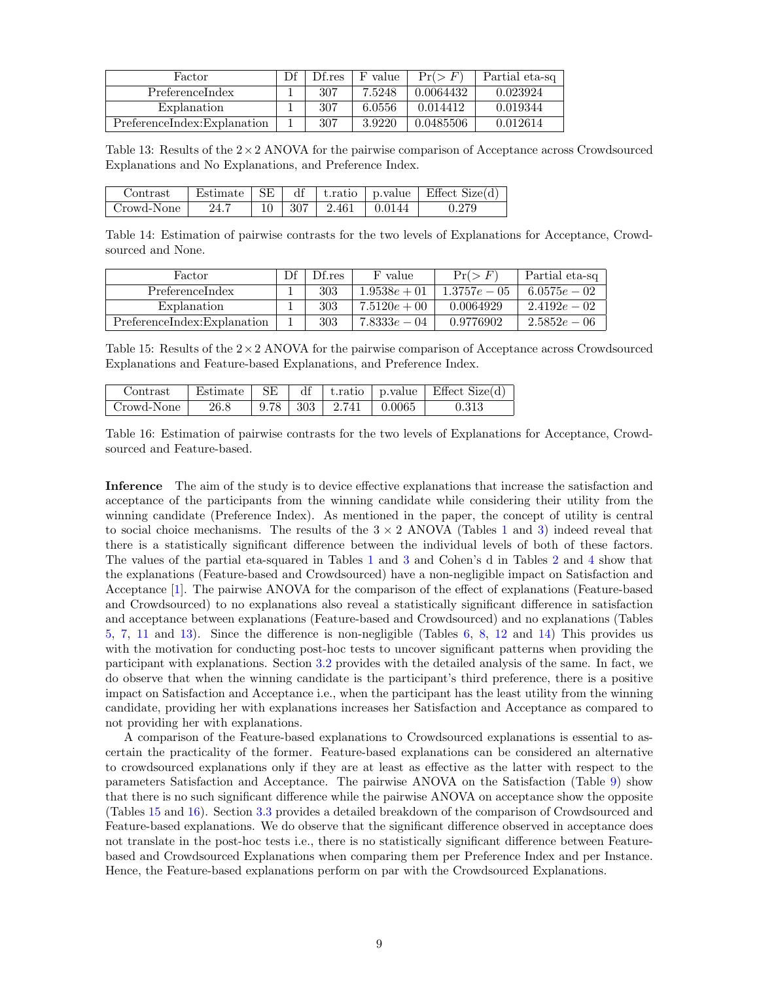| Factor                      | Df.res | F value | Pr(       | Partial eta-sq |
|-----------------------------|--------|---------|-----------|----------------|
| PreferenceIndex             | 307    | 7.5248  | 0.0064432 | 0.023924       |
| Explanation                 | 307    | 6.0556  | 0.014412  | 0.019344       |
| PreferenceIndex:Explanation | 307    | 3.9220  | 0.0485506 | 0.012614       |

<span id="page-8-0"></span>Table 13: Results of the  $2\times 2$  ANOVA for the pairwise comparison of Acceptance across Crowdsourced Explanations and No Explanations, and Preference Index.

|            |      |  |                                   | Contrast Estimate   $SE$   df   t.ratio   p.value   Effect Size(d) |
|------------|------|--|-----------------------------------|--------------------------------------------------------------------|
| Crowd-None | 24.7 |  | $10 \pm 307 \pm 2.461 \pm 0.0144$ | 0.279                                                              |

<span id="page-8-1"></span>Table 14: Estimation of pairwise contrasts for the two levels of Explanations for Acceptance, Crowdsourced and None.

| Factor                      | Df | Df.res | F value        | Pr(>F)       | Partial eta-sq |
|-----------------------------|----|--------|----------------|--------------|----------------|
| PreferenceIndex             |    | 303    | $1.9538e + 01$ | $1.3757e-05$ | $6.0575e - 02$ |
| Explanation                 |    | 303    | $7.5120e + 00$ | 0.0064929    | $2.4192e - 02$ |
| PreferenceIndex:Explanation |    | 303    | $7.8333e - 04$ | 0.9776902    | $2.5852e - 06$ |

<span id="page-8-2"></span>Table 15: Results of the  $2\times 2$  ANOVA for the pairwise comparison of Acceptance across Crowdsourced Explanations and Feature-based Explanations, and Preference Index.

| Contrast   |      |  |                                                       | Estimate   SE   df   t.ratio   p.value   Effect Size(d) |
|------------|------|--|-------------------------------------------------------|---------------------------------------------------------|
| Crowd-None | 26.8 |  | $\vert$ 9.78 $\vert$ 303 $\vert$ 2.741 $\vert$ 0.0065 | 0.313                                                   |

<span id="page-8-3"></span>Table 16: Estimation of pairwise contrasts for the two levels of Explanations for Acceptance, Crowdsourced and Feature-based.

Inference The aim of the study is to device effective explanations that increase the satisfaction and acceptance of the participants from the winning candidate while considering their utility from the winning candidate (Preference Index). As mentioned in the paper, the concept of utility is central to social choice mechanisms. The results of the  $3 \times 2$  ANOVA (Tables [1](#page-5-0) and [3\)](#page-5-1) indeed reveal that there is a statistically significant difference between the individual levels of both of these factors. The values of the partial eta-squared in Tables [1](#page-5-0) and [3](#page-5-1) and Cohen's d in Tables [2](#page-5-2) and [4](#page-6-0) show that the explanations (Feature-based and Crowdsourced) have a non-negligible impact on Satisfaction and Acceptance [\[1\]](#page-11-2). The pairwise ANOVA for the comparison of the effect of explanations (Feature-based and Crowdsourced) to no explanations also reveal a statistically significant difference in satisfaction and acceptance between explanations (Feature-based and Crowdsourced) and no explanations (Tables [5,](#page-6-1) [7,](#page-6-3) [11](#page-7-2) and [13\)](#page-8-0). Since the difference is non-negligible (Tables [6,](#page-6-2) [8,](#page-6-4) [12](#page-7-3) and [14\)](#page-8-1) This provides us with the motivation for conducting post-hoc tests to uncover significant patterns when providing the participant with explanations. Section [3.2](#page-9-0) provides with the detailed analysis of the same. In fact, we do observe that when the winning candidate is the participant's third preference, there is a positive impact on Satisfaction and Acceptance i.e., when the participant has the least utility from the winning candidate, providing her with explanations increases her Satisfaction and Acceptance as compared to not providing her with explanations.

A comparison of the Feature-based explanations to Crowdsourced explanations is essential to ascertain the practicality of the former. Feature-based explanations can be considered an alternative to crowdsourced explanations only if they are at least as effective as the latter with respect to the parameters Satisfaction and Acceptance. The pairwise ANOVA on the Satisfaction (Table [9\)](#page-7-0) show that there is no such significant difference while the pairwise ANOVA on acceptance show the opposite (Tables [15](#page-8-2) and [16\)](#page-8-3). Section [3.3](#page-10-0) provides a detailed breakdown of the comparison of Crowdsourced and Feature-based explanations. We do observe that the significant difference observed in acceptance does not translate in the post-hoc tests i.e., there is no statistically significant difference between Featurebased and Crowdsourced Explanations when comparing them per Preference Index and per Instance. Hence, the Feature-based explanations perform on par with the Crowdsourced Explanations.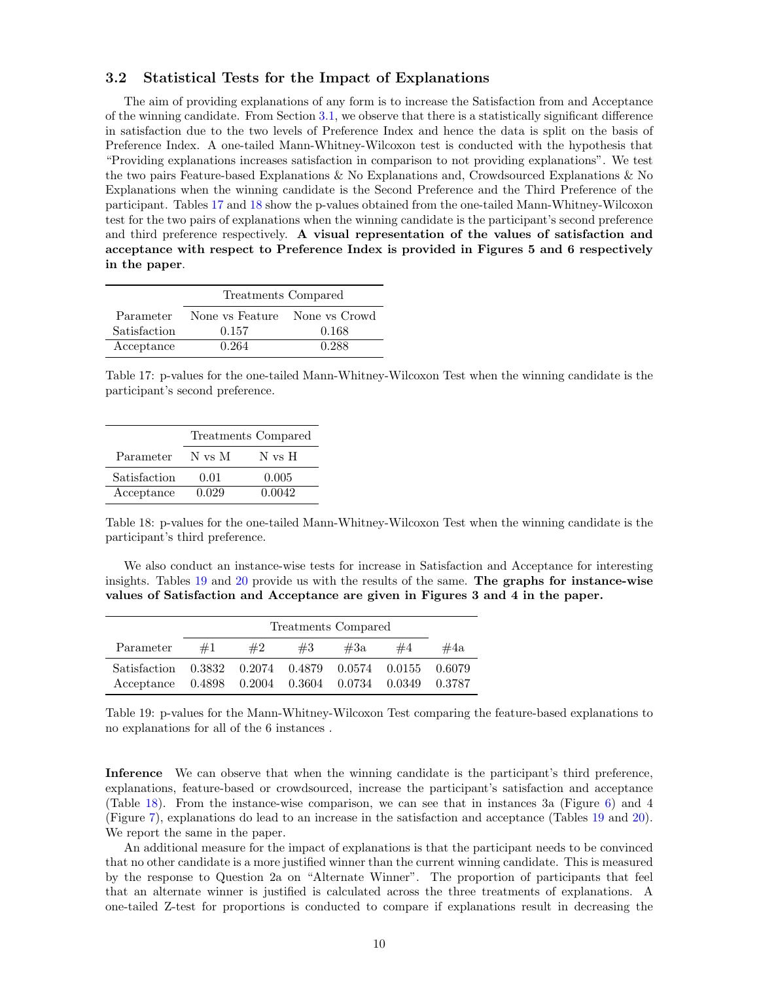#### <span id="page-9-0"></span>3.2 Statistical Tests for the Impact of Explanations

The aim of providing explanations of any form is to increase the Satisfaction from and Acceptance of the winning candidate. From Section [3.1,](#page-5-3) we observe that there is a statistically significant difference in satisfaction due to the two levels of Preference Index and hence the data is split on the basis of Preference Index. A one-tailed Mann-Whitney-Wilcoxon test is conducted with the hypothesis that "Providing explanations increases satisfaction in comparison to not providing explanations". We test the two pairs Feature-based Explanations & No Explanations and, Crowdsourced Explanations & No Explanations when the winning candidate is the Second Preference and the Third Preference of the participant. Tables [17](#page-9-1) and [18](#page-9-2) show the p-values obtained from the one-tailed Mann-Whitney-Wilcoxon test for the two pairs of explanations when the winning candidate is the participant's second preference and third preference respectively. A visual representation of the values of satisfaction and acceptance with respect to Preference Index is provided in Figures 5 and 6 respectively in the paper.

|              | Treatments Compared           |       |  |  |
|--------------|-------------------------------|-------|--|--|
| Parameter    | None vs Feature None vs Crowd |       |  |  |
| Satisfaction | 0.157                         | 0.168 |  |  |
| Acceptance   | 0.264                         | 0.288 |  |  |

<span id="page-9-1"></span>Table 17: p-values for the one-tailed Mann-Whitney-Wilcoxon Test when the winning candidate is the participant's second preference.

|              | Treatments Compared |        |  |  |
|--------------|---------------------|--------|--|--|
| Parameter    | N vs M              | N vs H |  |  |
| Satisfaction | 0.01                | 0.005  |  |  |
| Acceptance   | 0.029               | 0.0042 |  |  |

<span id="page-9-2"></span>Table 18: p-values for the one-tailed Mann-Whitney-Wilcoxon Test when the winning candidate is the participant's third preference.

We also conduct an instance-wise tests for increase in Satisfaction and Acceptance for interesting insights. Tables [19](#page-9-3) and [20](#page-10-1) provide us with the results of the same. The graphs for instance-wise values of Satisfaction and Acceptance are given in Figures 3 and 4 in the paper.

|                                                                                                         | Treatments Compared |    |    |     |    |        |
|---------------------------------------------------------------------------------------------------------|---------------------|----|----|-----|----|--------|
| Parameter                                                                                               | #1                  | #2 | #3 | #3a | #4 | #4a    |
| Satisfaction 0.3832 0.2074 0.4879 0.0574 0.0155 0.6079<br>Acceptance 0.4898 0.2004 0.3604 0.0734 0.0349 |                     |    |    |     |    | 0.3787 |

<span id="page-9-3"></span>Table 19: p-values for the Mann-Whitney-Wilcoxon Test comparing the feature-based explanations to no explanations for all of the 6 instances .

Inference We can observe that when the winning candidate is the participant's third preference, explanations, feature-based or crowdsourced, increase the participant's satisfaction and acceptance (Table [18\)](#page-9-2). From the instance-wise comparison, we can see that in instances 3a (Figure [6\)](#page-3-0) and 4 (Figure [7\)](#page-4-0), explanations do lead to an increase in the satisfaction and acceptance (Tables [19](#page-9-3) and [20\)](#page-10-1). We report the same in the paper.

An additional measure for the impact of explanations is that the participant needs to be convinced that no other candidate is a more justified winner than the current winning candidate. This is measured by the response to Question 2a on "Alternate Winner". The proportion of participants that feel that an alternate winner is justified is calculated across the three treatments of explanations. A one-tailed Z-test for proportions is conducted to compare if explanations result in decreasing the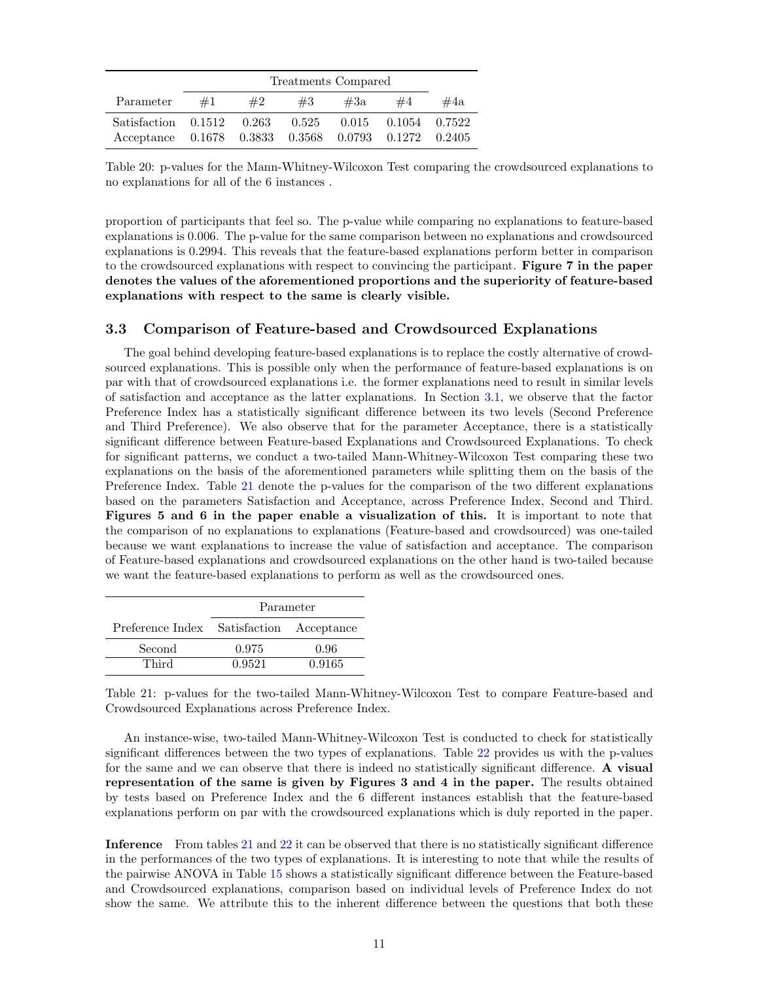|                                                                                   | Treatments Compared |    |    |     |                                   |     |
|-----------------------------------------------------------------------------------|---------------------|----|----|-----|-----------------------------------|-----|
| Parameter                                                                         | #1                  | #2 | #3 | #3a | #4                                | #4a |
| Satis factor 0.1512 0.263<br>Acceptance 0.1678 0.3833 0.3568 0.0793 0.1272 0.2405 |                     |    |    |     | $0.525$ $0.015$ $0.1054$ $0.7522$ |     |

<span id="page-10-1"></span>Table 20: p-values for the Mann-Whitney-Wilcoxon Test comparing the crowdsourced explanations to no explanations for all of the 6 instances .

proportion of participants that feel so. The p-value while comparing no explanations to feature-based explanations is 0.006. The p-value for the same comparison between no explanations and crowdsourced explanations is 0.2994. This reveals that the feature-based explanations perform better in comparison to the crowdsourced explanations with respect to convincing the participant. Figure 7 in the paper denotes the values of the aforementioned proportions and the superiority of feature-based explanations with respect to the same is clearly visible.

#### <span id="page-10-0"></span>3.3 Comparison of Feature-based and Crowdsourced Explanations

The goal behind developing feature-based explanations is to replace the costly alternative of crowdsourced explanations. This is possible only when the performance of feature-based explanations is on par with that of crowdsourced explanations i.e. the former explanations need to result in similar levels of satisfaction and acceptance as the latter explanations. In Section [3.1,](#page-5-3) we observe that the factor Preference Index has a statistically significant difference between its two levels (Second Preference and Third Preference). We also observe that for the parameter Acceptance, there is a statistically significant difference between Feature-based Explanations and Crowdsourced Explanations. To check for significant patterns, we conduct a two-tailed Mann-Whitney-Wilcoxon Test comparing these two explanations on the basis of the aforementioned parameters while splitting them on the basis of the Preference Index. Table [21](#page-10-2) denote the p-values for the comparison of the two different explanations based on the parameters Satisfaction and Acceptance, across Preference Index, Second and Third. Figures 5 and 6 in the paper enable a visualization of this. It is important to note that the comparison of no explanations to explanations (Feature-based and crowdsourced) was one-tailed because we want explanations to increase the value of satisfaction and acceptance. The comparison of Feature-based explanations and crowdsourced explanations on the other hand is two-tailed because we want the feature-based explanations to perform as well as the crowdsourced ones.

|                                          | Parameter |        |  |  |
|------------------------------------------|-----------|--------|--|--|
| Preference Index Satisfaction Acceptance |           |        |  |  |
| Second                                   | 0.975     | 0.96   |  |  |
| Third                                    | 0.9521    | 0.9165 |  |  |

<span id="page-10-2"></span>Table 21: p-values for the two-tailed Mann-Whitney-Wilcoxon Test to compare Feature-based and Crowdsourced Explanations across Preference Index.

An instance-wise, two-tailed Mann-Whitney-Wilcoxon Test is conducted to check for statistically significant differences between the two types of explanations. Table [22](#page-11-3) provides us with the p-values for the same and we can observe that there is indeed no statistically significant difference. **A visual** representation of the same is given by Figures 3 and 4 in the paper. The results obtained by tests based on Preference Index and the 6 different instances establish that the feature-based explanations perform on par with the crowdsourced explanations which is duly reported in the paper.

Inference From tables [21](#page-10-2) and [22](#page-11-3) it can be observed that there is no statistically significant difference in the performances of the two types of explanations. It is interesting to note that while the results of the pairwise ANOVA in Table [15](#page-8-2) shows a statistically significant difference between the Feature-based and Crowdsourced explanations, comparison based on individual levels of Preference Index do not show the same. We attribute this to the inherent difference between the questions that both these